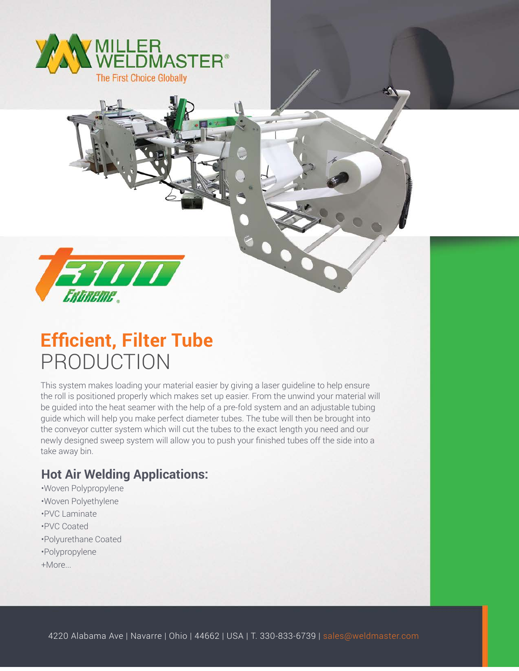

**FIII** 

## **Efficient, Filter Tube** PRODUCTION

This system makes loading your material easier by giving a laser guideline to help ensure the roll is positioned properly which makes set up easier. From the unwind your material will be guided into the heat seamer with the help of a pre-fold system and an adjustable tubing guide which will help you make perfect diameter tubes. The tube will then be brought into the conveyor cutter system which will cut the tubes to the exact length you need and our newly designed sweep system will allow you to push your finished tubes off the side into a take away bin.

## **Hot Air Welding Applications:**

- •Woven Polypropylene
- •Woven Polyethylene
- •PVC Laminate
- •PVC Coated
- •Polyurethane Coated
- •Polypropylene
- +More...